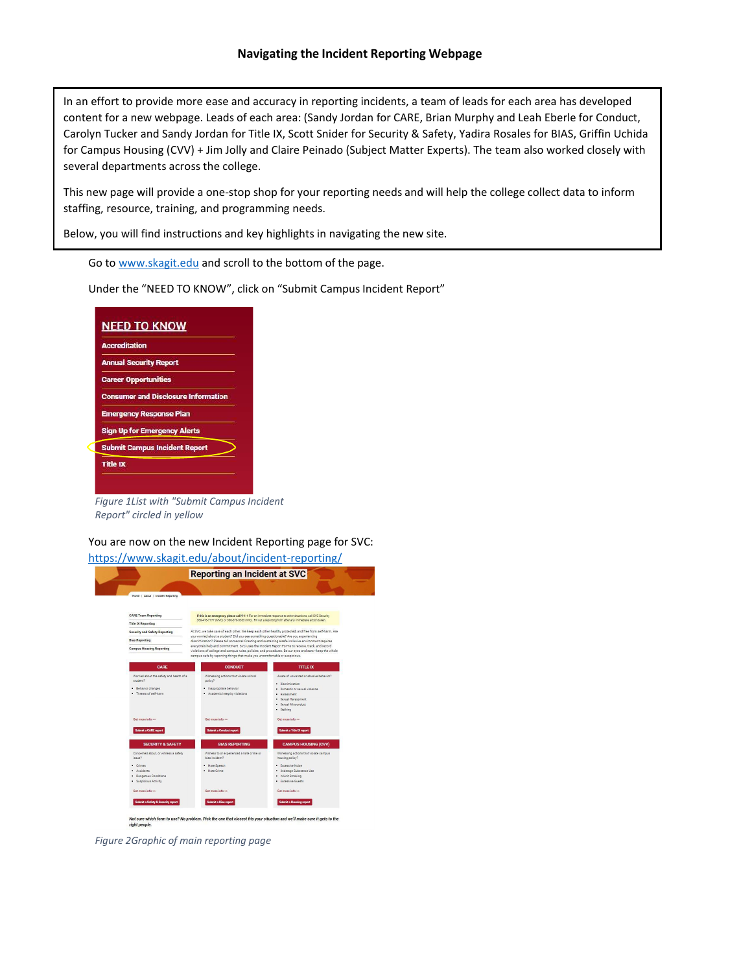In an effort to provide more ease and accuracy in reporting incidents, a team of leads for each area has developed content for a new webpage. Leads of each area: (Sandy Jordan for CARE, Brian Murphy and Leah Eberle for Conduct, Carolyn Tucker and Sandy Jordan for Title IX, Scott Snider for Security & Safety, Yadira Rosales for BIAS, Griffin Uchida for Campus Housing (CVV) + Jim Jolly and Claire Peinado (Subject Matter Experts). The team also worked closely with several departments across the college.

This new page will provide a one-stop shop for your reporting needs and will help the college collect data to inform staffing, resource, training, and programming needs.

Below, you will find instructions and key highlights in navigating the new site.

Go t[o www.skagit.edu](http://www.skagit.edu/) and scroll to the bottom of the page.

Under the "NEED TO KNOW", click on "Submit Campus Incident Report"

|                               | <b>NEED TO KNOW</b>                        |
|-------------------------------|--------------------------------------------|
| <b>Accreditation</b>          |                                            |
| <b>Annual Security Report</b> |                                            |
| <b>Career Opportunities</b>   |                                            |
|                               | <b>Consumer and Disclosure Information</b> |
|                               | <b>Emergency Response Plan</b>             |
|                               | <b>Sign Up for Emergency Alerts</b>        |
|                               | <b>Submit Campus Incident Report</b>       |
| Title IX                      |                                            |

*Figure 1List with "Submit Campus Incident Report" circled in yellow*

You are now on the new Incident Reporting page for SVC:

<https://www.skagit.edu/about/incident-reporting/> **Reporting an Incident at SVC Donald Show I for** Behavior changes<br>Threats of self-harr and we'll make sure it gets to the Pick the one that

*Figure 2Graphic of main reporting page*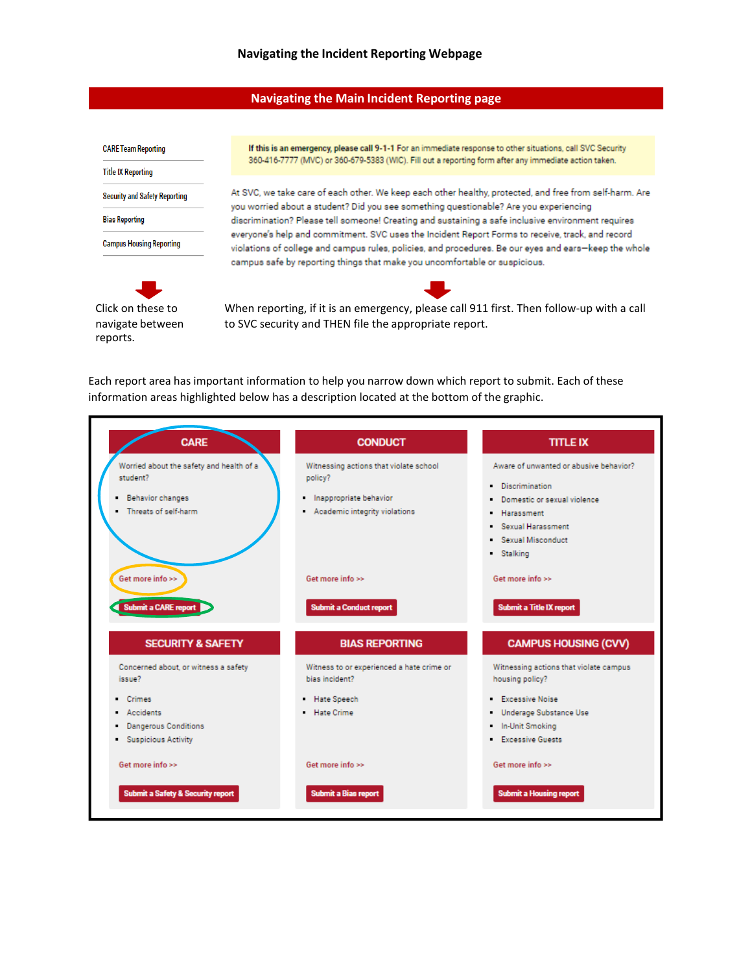## **Navigating the Main Incident Reporting page**

**CARE Team Reporting** 

**Title IX Reporting** 

**Security and Safety Reporting** 

**Bias Reporting** 

**Campus Housing Reporting** 



If this is an emergency, please call 9-1-1 For an immediate response to other situations, call SVC Security 360-416-7777 (MVC) or 360-679-5383 (WIC). Fill out a reporting form after any immediate action taken.

At SVC, we take care of each other. We keep each other healthy, protected, and free from self-harm. Are you worried about a student? Did you see something questionable? Are you experiencing discrimination? Please tell someone! Creating and sustaining a safe inclusive environment requires everyone's help and commitment. SVC uses the Incident Report Forms to receive, track, and record violations of college and campus rules, policies, and procedures. Be our eyes and ears-keep the whole campus safe by reporting things that make you uncomfortable or suspicious.



When reporting, if it is an emergency, please call 911 first. Then follow-up with a call to SVC security and THEN file the appropriate report.

Each report area has important information to help you narrow down which report to submit. Each of these information areas highlighted below has a description located at the bottom of the graphic.

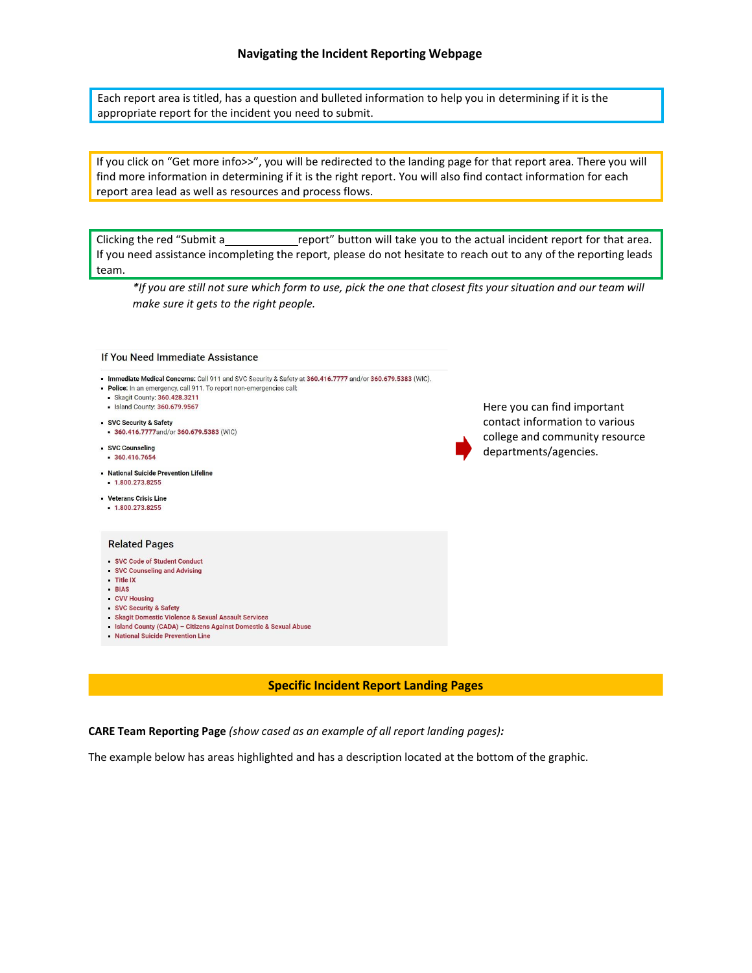Each report area is titled, has a question and bulleted information to help you in determining if it is the appropriate report for the incident you need to submit.

If you click on "Get more info>>", you will be redirected to the landing page for that report area. There you will find more information in determining if it is the right report. You will also find contact information for each report area lead as well as resources and process flows.

Clicking the red "Submit a report" button will take you to the actual incident report for that area. If you need assistance incompleting the report, please do not hesitate to reach out to any of the reporting leads team.

\*If you are still not sure which form to use, pick the one that closest fits your situation and our team will *make sure it gets to the right people.*

| If You Need Immediate Assistance                                                                                                                                                                                                                                                                                                                                                                                    |                                                                                                                          |
|---------------------------------------------------------------------------------------------------------------------------------------------------------------------------------------------------------------------------------------------------------------------------------------------------------------------------------------------------------------------------------------------------------------------|--------------------------------------------------------------------------------------------------------------------------|
| - Immediate Medical Concerns: Call 911 and SVC Security & Safety at 360.416.7777 and/or 360.679.5383 (WIC).<br>. Police: In an emergency, call 911. To report non-emergencies call:<br>Skagit County: 360.428.3211<br>Island County: 360.679.9567<br>SVC Security & Safety<br>360.416.7777and/or 360.679.5383 (WIC)<br>· SVC Counseling<br>360.416.7654<br>- National Suicide Prevention Lifeline<br>1.800.273.8255 | Here you can find important<br>contact information to various<br>college and community resource<br>departments/agencies. |
| - Veterans Crisis Line<br>1.800.273.8255                                                                                                                                                                                                                                                                                                                                                                            |                                                                                                                          |
| <b>Related Pages</b><br>SVC Code of Student Conduct<br>SVC Counseling and Advising<br>Title IX<br>- BIAS<br>- CVV Housing<br>SVC Security & Safety<br>- Skagit Domestic Violence & Sexual Assault Services<br>- Island County (CADA) - Citizens Against Domestic & Sexual Abuse<br>• National Suicide Prevention Line                                                                                               |                                                                                                                          |

## **Specific Incident Report Landing Pages**

**CARE Team Reporting Page** *(show cased as an example of all report landing pages):*

The example below has areas highlighted and has a description located at the bottom of the graphic.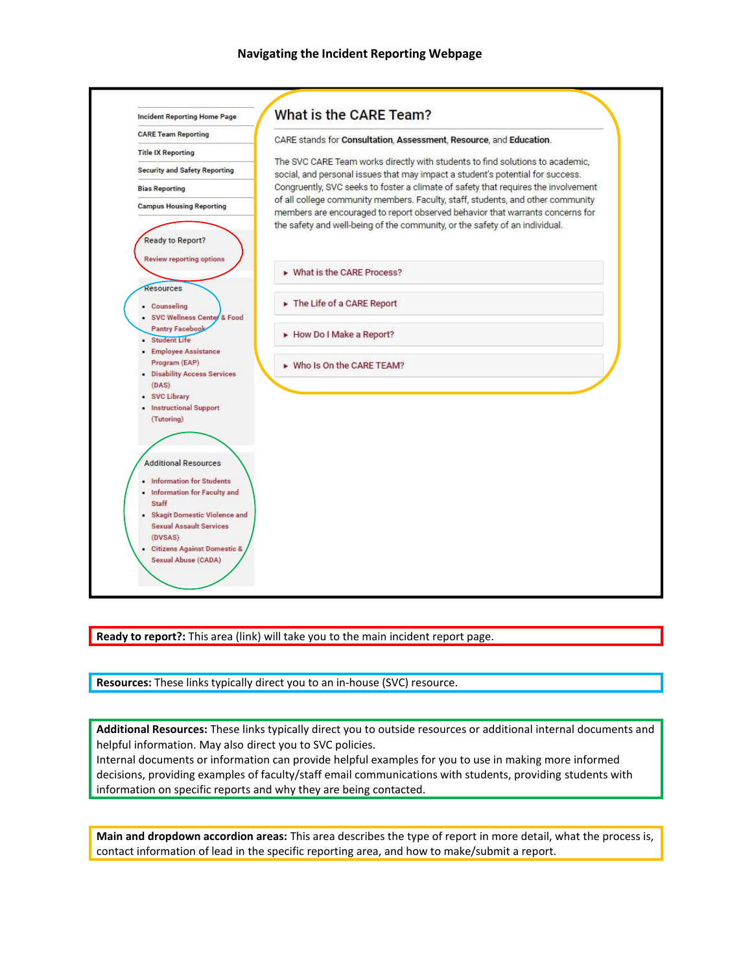

**Ready to report?:** This area (link) will take you to the main incident report page.

**Resources:** These links typically direct you to an in-house (SVC) resource.

**Additional Resources:** These links typically direct you to outside resources or additional internal documents and helpful information. May also direct you to SVC policies.

Internal documents or information can provide helpful examples for you to use in making more informed decisions, providing examples of faculty/staff email communications with students, providing students with information on specific reports and why they are being contacted.

**Main and dropdown accordion areas:** This area describes the type of report in more detail, what the process is, contact information of lead in the specific reporting area, and how to make/submit a report.